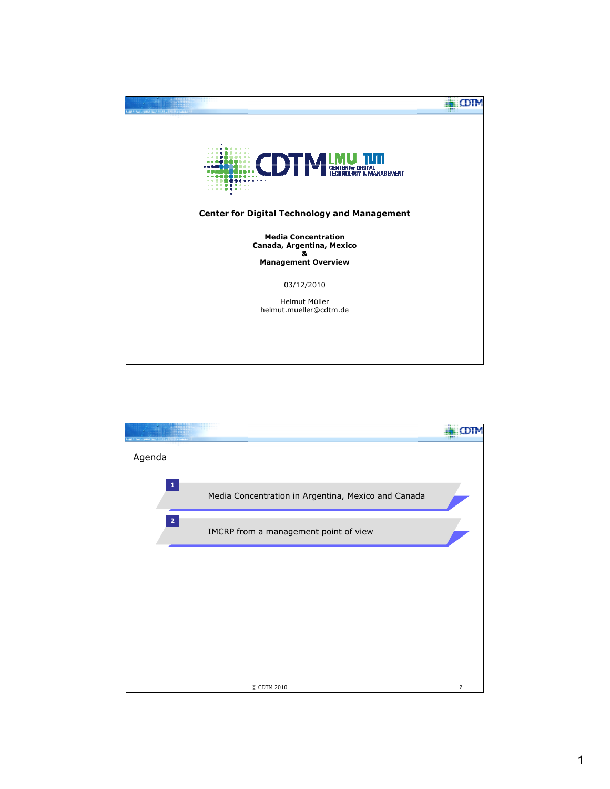

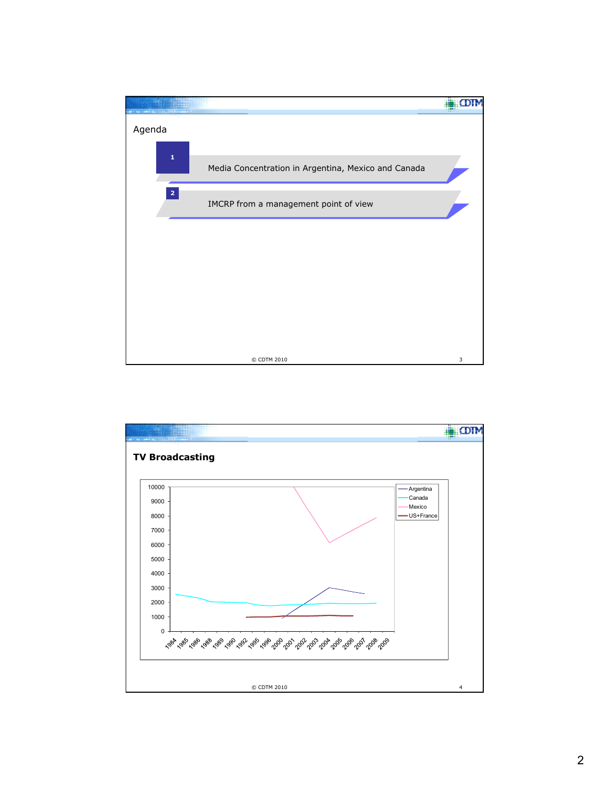

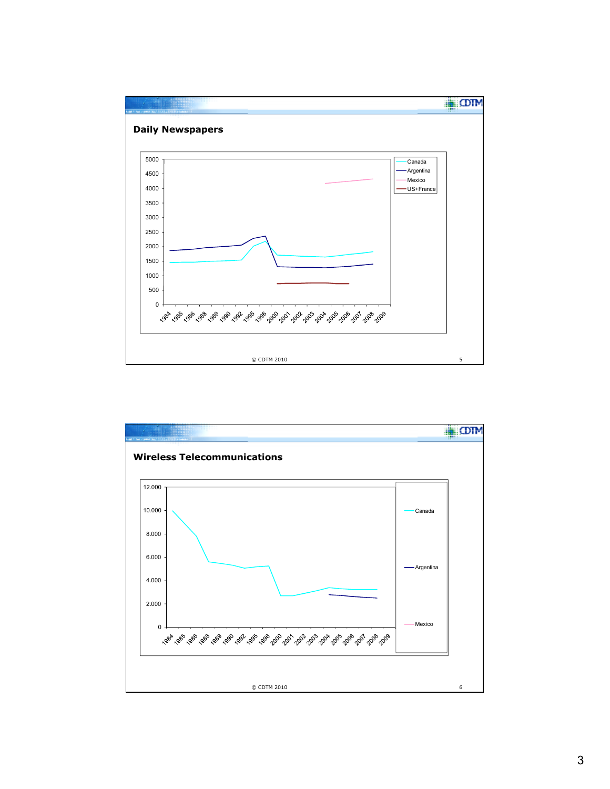

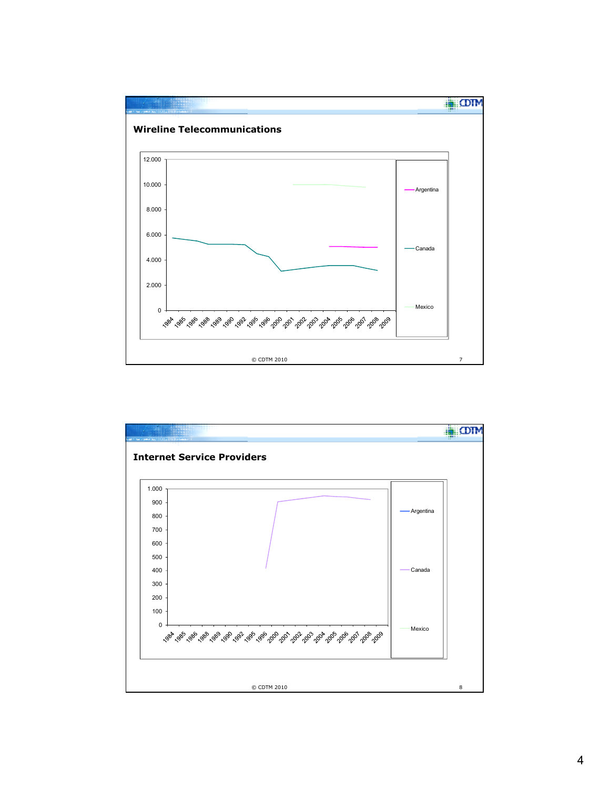

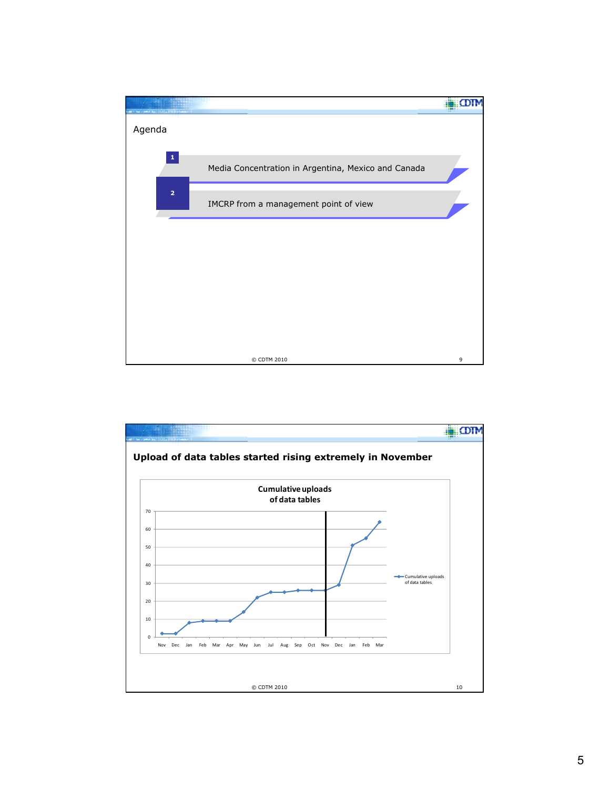

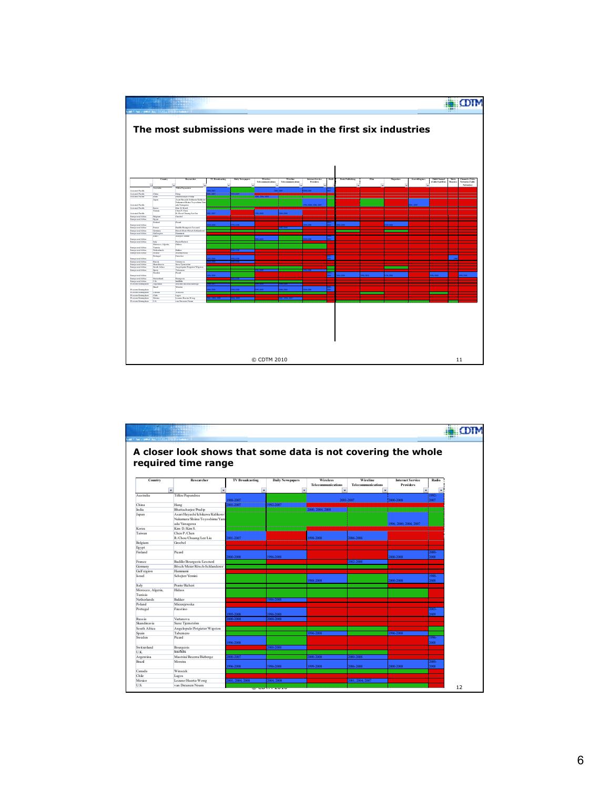

| Castle and Dunker and Children and |                                                              |                        |                         |                                       |                                |                                             |                  |  |
|------------------------------------|--------------------------------------------------------------|------------------------|-------------------------|---------------------------------------|--------------------------------|---------------------------------------------|------------------|--|
|                                    |                                                              |                        |                         |                                       |                                |                                             |                  |  |
|                                    | A closer look shows that some data is not covering the whole |                        |                         |                                       |                                |                                             |                  |  |
|                                    |                                                              |                        |                         |                                       |                                |                                             |                  |  |
|                                    | required time range                                          |                        |                         |                                       |                                |                                             |                  |  |
|                                    |                                                              |                        |                         |                                       |                                |                                             |                  |  |
|                                    |                                                              |                        |                         |                                       |                                |                                             |                  |  |
| Country                            | Researcher                                                   | <b>TV Broadcasting</b> | <b>Daily Newspapers</b> | <b>Wireless</b><br>Telecommunications | Wireline<br>Telecommunications | <b>Internet Service</b><br><b>Providers</b> | Radio            |  |
| ÷                                  | Ψ                                                            | ⊊                      | ⊊                       | ×                                     | ÷                              |                                             | ÷                |  |
| Australia                          | Tiffen/Papandrea                                             |                        |                         |                                       |                                |                                             | 1992             |  |
|                                    |                                                              | 988-2007               |                         |                                       | 2001-2007                      | 2000-2008                                   | 2007             |  |
| China                              | Hang                                                         | 2001-2007              | 992-2007                |                                       |                                |                                             |                  |  |
| India                              | Bhattachariee/Pradip                                         |                        |                         | 2000. 2004. 2008                      |                                |                                             |                  |  |
| Japan                              | Asari/Hayashi/Ichikawa/Kidikoro.                             |                        |                         |                                       |                                |                                             |                  |  |
|                                    | Nakamura/Shiina/Toyoshima/Yam                                |                        |                         |                                       |                                |                                             |                  |  |
|                                    | ada/Yanagawa                                                 |                        |                         |                                       |                                | 1996, 2000, 2004, 2007                      |                  |  |
| Korea                              | Kim D./Kim S.                                                |                        |                         |                                       |                                |                                             |                  |  |
| Taiwan                             | Chen P/Chen                                                  |                        |                         |                                       |                                |                                             |                  |  |
|                                    | R./Chou/Chuang/Lee/Liu<br>Groebel                            | 001-2007               |                         | 1998-2008                             | 2006-2008                      |                                             |                  |  |
| Belgium<br>Egypt                   |                                                              |                        |                         |                                       |                                |                                             |                  |  |
| Finland                            | Picard                                                       |                        |                         |                                       |                                |                                             | 2000-            |  |
|                                    |                                                              | 000-2008               | 1996-2008               |                                       |                                | 1000-2008                                   | 2008             |  |
| France                             | Badillo/Bourgeois/Lesourd                                    |                        |                         |                                       | 2002-2008                      |                                             |                  |  |
| Germany                            | Bösch/Meier/Rösch-Schlanderer/                               |                        |                         |                                       |                                |                                             |                  |  |
| Gulf region                        | Hammami                                                      |                        |                         |                                       |                                |                                             |                  |  |
| Israel                             | Scheiter/Yemini                                              |                        |                         | 1988-2008                             |                                | 2000-2008                                   | 1988-<br>2008    |  |
| Italy                              | Prario/Richeri                                               |                        |                         |                                       |                                |                                             |                  |  |
| Morocco, Algeria,<br>Tunisia       | Hidass                                                       |                        |                         |                                       |                                |                                             |                  |  |
| Netherlands                        | Bakker                                                       |                        | 986-2008                |                                       |                                |                                             |                  |  |
| Poland                             | Mierzejewska                                                 |                        |                         |                                       |                                |                                             |                  |  |
| Portugal                           | Faustino                                                     | 995-2008               | 1996-2008               |                                       |                                |                                             | $2003 -$<br>2009 |  |
| Russia                             | Vartanova                                                    | 000-2008               | 2000-2008               |                                       |                                |                                             |                  |  |
| Skandinavia                        | Sune Tiemström                                               |                        |                         |                                       |                                |                                             |                  |  |
| South Africa                       | Angelopulo/Potgieter/Wigston                                 |                        |                         |                                       |                                |                                             |                  |  |
| Spain                              | Tabemero                                                     |                        |                         | 1996-2008                             |                                | 1996-2008                                   |                  |  |
| Sweden                             | Picard                                                       | 996-2008               |                         |                                       |                                |                                             | 1996-<br>2008    |  |
| Switzerland                        | Bourgeois                                                    |                        | 2000-2008               |                                       |                                |                                             |                  |  |
| U.K.                               | los ifidis                                                   |                        |                         |                                       |                                |                                             |                  |  |
| Argentina                          | Mastrini/Becerra/Bizberge                                    | 000-2007               |                         | 2000-2008                             | 2000-2008                      |                                             |                  |  |
| Brazil                             | Moreira                                                      |                        |                         |                                       |                                |                                             | 2000-            |  |
|                                    |                                                              | 996-2008               | 1996-2008               | 1999-2008                             | 2006-2008                      | 2000-2008                                   | 2008             |  |
| Canada                             | Winseck                                                      |                        |                         |                                       |                                |                                             |                  |  |
| Chile                              | Lagos                                                        |                        |                         |                                       |                                |                                             |                  |  |
| Mexico<br>U.S.                     | Lozano/Huerta-Wong<br>van Dreunen/Noam                       | 001, 2004, 2008        | 2004.2008               |                                       | 2001, 2004, 2007               |                                             |                  |  |
|                                    |                                                              |                        | ש כטיחים ש              |                                       |                                |                                             |                  |  |